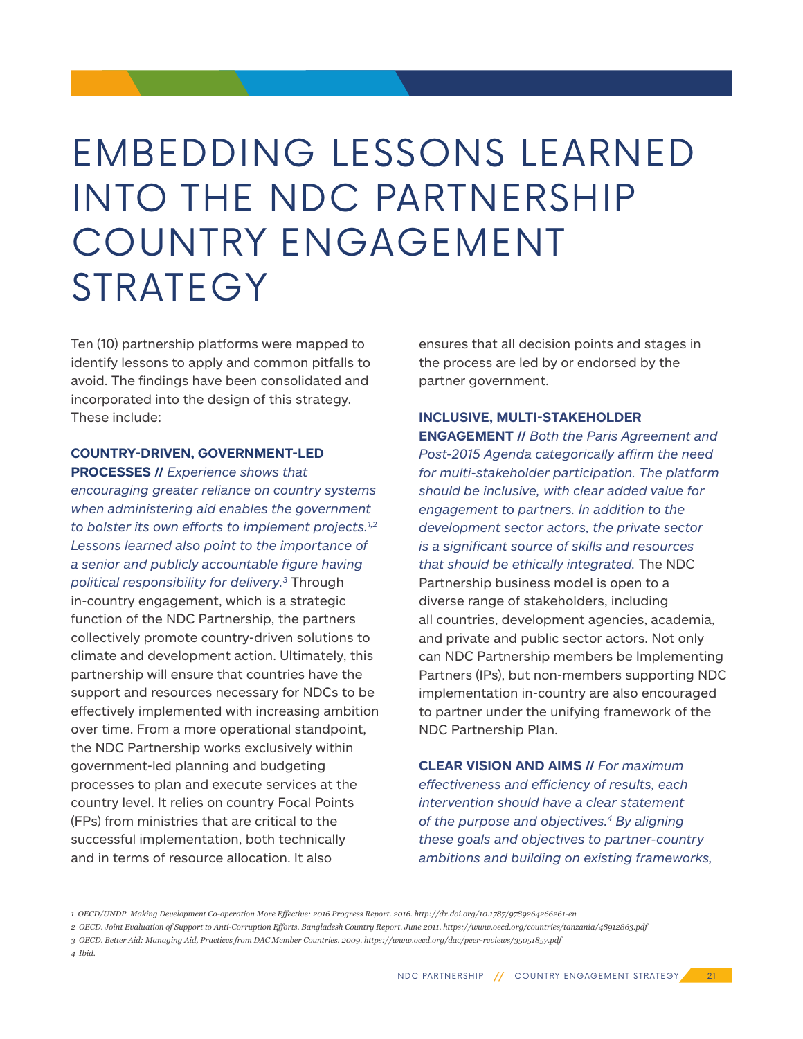# EMBEDDING LESSONS LEARNED INTO THE NDC PARTNERSHIP COUNTRY ENGAGEMENT **STRATEGY**

Ten (10) partnership platforms were mapped to identify lessons to apply and common pitfalls to avoid. The findings have been consolidated and incorporated into the design of this strategy. These include:

## **COUNTRY-DRIVEN, GOVERNMENT-LED**

**PROCESSES //** *Experience shows that encouraging greater reliance on country systems when administering aid enables the government to bolster its own efforts to implement projects.1,2 Lessons learned also point to the importance of a senior and publicly accountable figure having political responsibility for delivery.3* Through in-country engagement, which is a strategic function of the NDC Partnership, the partners collectively promote country-driven solutions to climate and development action. Ultimately, this partnership will ensure that countries have the support and resources necessary for NDCs to be effectively implemented with increasing ambition over time. From a more operational standpoint, the NDC Partnership works exclusively within government-led planning and budgeting processes to plan and execute services at the country level. It relies on country Focal Points (FPs) from ministries that are critical to the successful implementation, both technically and in terms of resource allocation. It also

ensures that all decision points and stages in the process are led by or endorsed by the partner government.

## **INCLUSIVE, MULTI-STAKEHOLDER**

**ENGAGEMENT //** *Both the Paris Agreement and Post-2015 Agenda categorically affirm the need for multi-stakeholder participation. The platform should be inclusive, with clear added value for engagement to partners. In addition to the development sector actors, the private sector is a significant source of skills and resources that should be ethically integrated.* The NDC Partnership business model is open to a diverse range of stakeholders, including all countries, development agencies, academia, and private and public sector actors. Not only can NDC Partnership members be Implementing Partners (IPs), but non-members supporting NDC implementation in-country are also encouraged to partner under the unifying framework of the NDC Partnership Plan.

**CLEAR VISION AND AIMS //** *For maximum effectiveness and efficiency of results, each intervention should have a clear statement of the purpose and objectives.4 By aligning these goals and objectives to partner-country ambitions and building on existing frameworks,* 

*<sup>1</sup> OECD/UNDP. Making Development Co-operation More Effective: 2016 Progress Report. 2016. http://dx.doi.org/10.1787/9789264266261-en* 

*<sup>2</sup> OECD. Joint Evaluation of Support to Anti-Corruption Efforts. Bangladesh Country Report. June 2011. https://www.oecd.org/countries/tanzania/48912863.pdf*

*<sup>3</sup> OECD. Better Aid: Managing Aid, Practices from DAC Member Countries. 2009. https://www.oecd.org/dac/peer-reviews/35051857.pdf* 

*<sup>4</sup> Ibid.*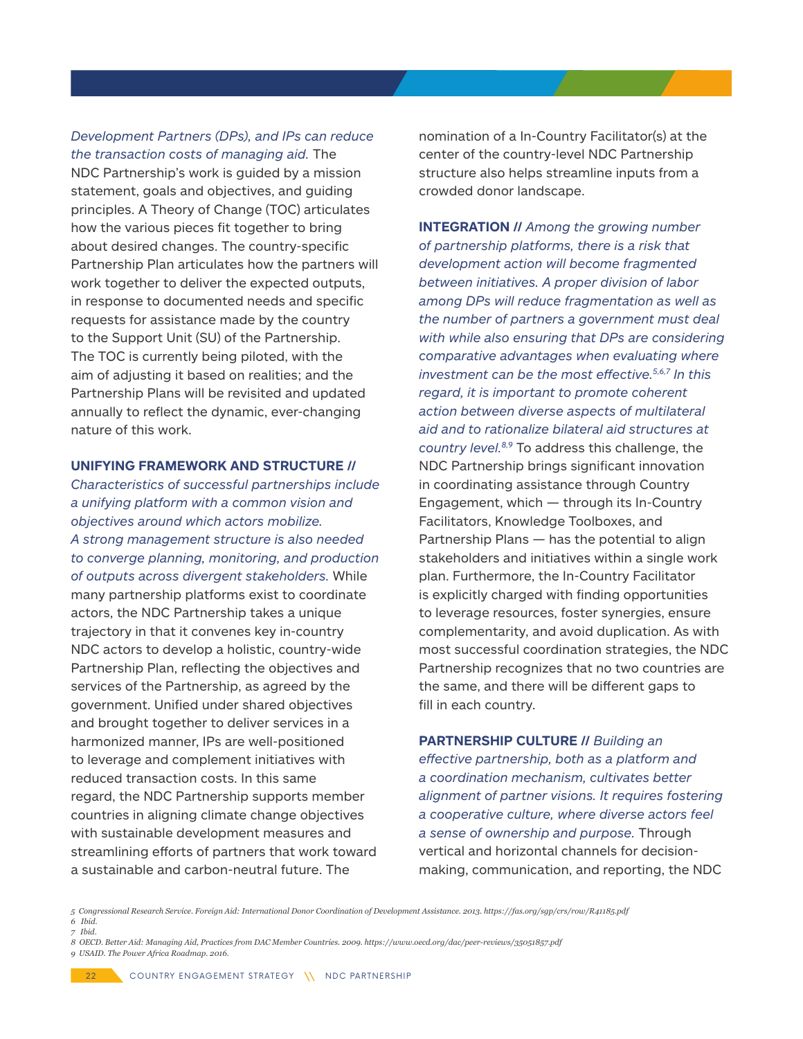*Development Partners (DPs), and IPs can reduce the transaction costs of managing aid.* The NDC Partnership's work is guided by a mission statement, goals and objectives, and guiding principles. A Theory of Change (TOC) articulates how the various pieces fit together to bring about desired changes. The country-specific Partnership Plan articulates how the partners will work together to deliver the expected outputs, in response to documented needs and specific requests for assistance made by the country to the Support Unit (SU) of the Partnership. The TOC is currently being piloted, with the aim of adjusting it based on realities; and the Partnership Plans will be revisited and updated annually to reflect the dynamic, ever-changing nature of this work.

#### **UNIFYING FRAMEWORK AND STRUCTURE //**

*Characteristics of successful partnerships include a unifying platform with a common vision and objectives around which actors mobilize. A strong management structure is also needed to converge planning, monitoring, and production of outputs across divergent stakeholders.* While many partnership platforms exist to coordinate actors, the NDC Partnership takes a unique trajectory in that it convenes key in-country NDC actors to develop a holistic, country-wide Partnership Plan, reflecting the objectives and services of the Partnership, as agreed by the government. Unified under shared objectives and brought together to deliver services in a harmonized manner, IPs are well-positioned to leverage and complement initiatives with reduced transaction costs. In this same regard, the NDC Partnership supports member countries in aligning climate change objectives with sustainable development measures and streamlining efforts of partners that work toward a sustainable and carbon-neutral future. The

nomination of a In-Country Facilitator(s) at the center of the country-level NDC Partnership structure also helps streamline inputs from a crowded donor landscape.

**INTEGRATION //** *Among the growing number of partnership platforms, there is a risk that development action will become fragmented between initiatives. A proper division of labor among DPs will reduce fragmentation as well as the number of partners a government must deal with while also ensuring that DPs are considering comparative advantages when evaluating where investment can be the most effective.5,6,7 In this regard, it is important to promote coherent action between diverse aspects of multilateral aid and to rationalize bilateral aid structures at country level.8,9* To address this challenge, the NDC Partnership brings significant innovation in coordinating assistance through Country Engagement, which — through its In-Country Facilitators, Knowledge Toolboxes, and Partnership Plans — has the potential to align stakeholders and initiatives within a single work plan. Furthermore, the In-Country Facilitator is explicitly charged with finding opportunities to leverage resources, foster synergies, ensure complementarity, and avoid duplication. As with most successful coordination strategies, the NDC Partnership recognizes that no two countries are the same, and there will be different gaps to fill in each country.

**PARTNERSHIP CULTURE //** *Building an effective partnership, both as a platform and a coordination mechanism, cultivates better alignment of partner visions. It requires fostering a cooperative culture, where diverse actors feel a sense of ownership and purpose.* Through vertical and horizontal channels for decisionmaking, communication, and reporting, the NDC

*5 Congressional Research Service. Foreign Aid: International Donor Coordination of Development Assistance. 2013. https://fas.org/sgp/crs/row/R41185.pdf 6 Ibid.*

- *7 Ibid.*
- *8 OECD. Better Aid: Managing Aid, Practices from DAC Member Countries. 2009. https://www.oecd.org/dac/peer-reviews/35051857.pdf 9 USAID. The Power Africa Roadmap. 2016.*